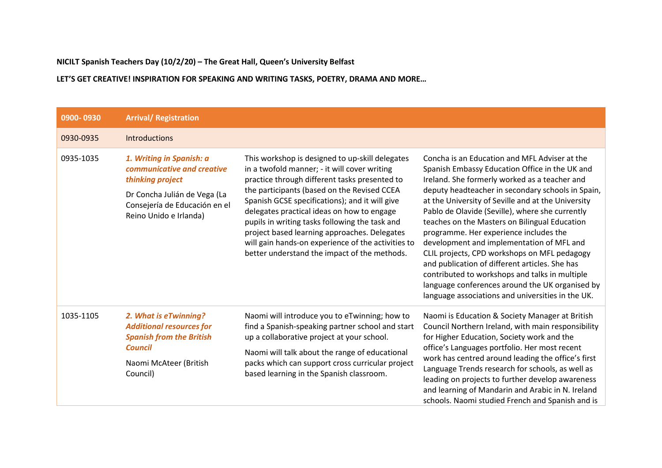**NICILT Spanish Teachers Day (10/2/20) – The Great Hall, Queen's University Belfast**

**LET'S GET CREATIVE! INSPIRATION FOR SPEAKING AND WRITING TASKS, POETRY, DRAMA AND MORE…**

| 0900-0930 | <b>Arrival/ Registration</b>                                                                                                                                          |                                                                                                                                                                                                                                                                                                                                                                                                                                                                                                         |                                                                                                                                                                                                                                                                                                                                                                                                                                                                                                                                                                                                                                                                                                                    |  |  |  |
|-----------|-----------------------------------------------------------------------------------------------------------------------------------------------------------------------|---------------------------------------------------------------------------------------------------------------------------------------------------------------------------------------------------------------------------------------------------------------------------------------------------------------------------------------------------------------------------------------------------------------------------------------------------------------------------------------------------------|--------------------------------------------------------------------------------------------------------------------------------------------------------------------------------------------------------------------------------------------------------------------------------------------------------------------------------------------------------------------------------------------------------------------------------------------------------------------------------------------------------------------------------------------------------------------------------------------------------------------------------------------------------------------------------------------------------------------|--|--|--|
| 0930-0935 | Introductions                                                                                                                                                         |                                                                                                                                                                                                                                                                                                                                                                                                                                                                                                         |                                                                                                                                                                                                                                                                                                                                                                                                                                                                                                                                                                                                                                                                                                                    |  |  |  |
| 0935-1035 | 1. Writing in Spanish: a<br>communicative and creative<br>thinking project<br>Dr Concha Julián de Vega (La<br>Consejería de Educación en el<br>Reino Unido e Irlanda) | This workshop is designed to up-skill delegates<br>in a twofold manner; - it will cover writing<br>practice through different tasks presented to<br>the participants (based on the Revised CCEA<br>Spanish GCSE specifications); and it will give<br>delegates practical ideas on how to engage<br>pupils in writing tasks following the task and<br>project based learning approaches. Delegates<br>will gain hands-on experience of the activities to<br>better understand the impact of the methods. | Concha is an Education and MFL Adviser at the<br>Spanish Embassy Education Office in the UK and<br>Ireland. She formerly worked as a teacher and<br>deputy headteacher in secondary schools in Spain,<br>at the University of Seville and at the University<br>Pablo de Olavide (Seville), where she currently<br>teaches on the Masters on Bilingual Education<br>programme. Her experience includes the<br>development and implementation of MFL and<br>CLIL projects, CPD workshops on MFL pedagogy<br>and publication of different articles. She has<br>contributed to workshops and talks in multiple<br>language conferences around the UK organised by<br>language associations and universities in the UK. |  |  |  |
| 1035-1105 | 2. What is eTwinning?<br><b>Additional resources for</b><br><b>Spanish from the British</b><br><b>Council</b><br>Naomi McAteer (British<br>Council)                   | Naomi will introduce you to eTwinning; how to<br>find a Spanish-speaking partner school and start<br>up a collaborative project at your school.<br>Naomi will talk about the range of educational<br>packs which can support cross curricular project<br>based learning in the Spanish classroom.                                                                                                                                                                                                       | Naomi is Education & Society Manager at British<br>Council Northern Ireland, with main responsibility<br>for Higher Education, Society work and the<br>office's Languages portfolio. Her most recent<br>work has centred around leading the office's first<br>Language Trends research for schools, as well as<br>leading on projects to further develop awareness<br>and learning of Mandarin and Arabic in N. Ireland<br>schools. Naomi studied French and Spanish and is                                                                                                                                                                                                                                        |  |  |  |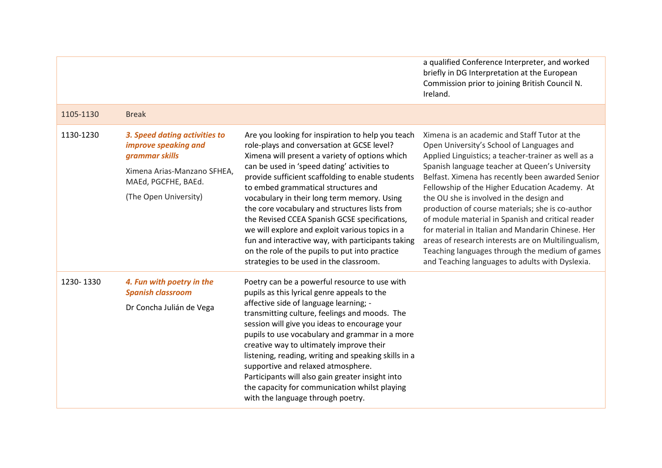|           |                                                                                                                                                        |                                                                                                                                                                                                                                                                                                                                                                                                                                                                                                                                                                                                                                                    | a qualified Conference Interpreter, and worked<br>briefly in DG Interpretation at the European<br>Commission prior to joining British Council N.<br>Ireland.                                                                                                                                                                                                                                                                                                                                                                                                                                                                                                                   |
|-----------|--------------------------------------------------------------------------------------------------------------------------------------------------------|----------------------------------------------------------------------------------------------------------------------------------------------------------------------------------------------------------------------------------------------------------------------------------------------------------------------------------------------------------------------------------------------------------------------------------------------------------------------------------------------------------------------------------------------------------------------------------------------------------------------------------------------------|--------------------------------------------------------------------------------------------------------------------------------------------------------------------------------------------------------------------------------------------------------------------------------------------------------------------------------------------------------------------------------------------------------------------------------------------------------------------------------------------------------------------------------------------------------------------------------------------------------------------------------------------------------------------------------|
| 1105-1130 | <b>Break</b>                                                                                                                                           |                                                                                                                                                                                                                                                                                                                                                                                                                                                                                                                                                                                                                                                    |                                                                                                                                                                                                                                                                                                                                                                                                                                                                                                                                                                                                                                                                                |
| 1130-1230 | 3. Speed dating activities to<br>improve speaking and<br>grammar skills<br>Ximena Arias-Manzano SFHEA,<br>MAEd, PGCFHE, BAEd.<br>(The Open University) | Are you looking for inspiration to help you teach<br>role-plays and conversation at GCSE level?<br>Ximena will present a variety of options which<br>can be used in 'speed dating' activities to<br>provide sufficient scaffolding to enable students<br>to embed grammatical structures and<br>vocabulary in their long term memory. Using<br>the core vocabulary and structures lists from<br>the Revised CCEA Spanish GCSE specifications,<br>we will explore and exploit various topics in a<br>fun and interactive way, with participants taking<br>on the role of the pupils to put into practice<br>strategies to be used in the classroom. | Ximena is an academic and Staff Tutor at the<br>Open University's School of Languages and<br>Applied Linguistics; a teacher-trainer as well as a<br>Spanish language teacher at Queen's University<br>Belfast. Ximena has recently been awarded Senior<br>Fellowship of the Higher Education Academy. At<br>the OU she is involved in the design and<br>production of course materials; she is co-author<br>of module material in Spanish and critical reader<br>for material in Italian and Mandarin Chinese. Her<br>areas of research interests are on Multilingualism,<br>Teaching languages through the medium of games<br>and Teaching languages to adults with Dyslexia. |
| 1230-1330 | 4. Fun with poetry in the<br><b>Spanish classroom</b><br>Dr Concha Julián de Vega                                                                      | Poetry can be a powerful resource to use with<br>pupils as this lyrical genre appeals to the<br>affective side of language learning; -<br>transmitting culture, feelings and moods. The<br>session will give you ideas to encourage your<br>pupils to use vocabulary and grammar in a more<br>creative way to ultimately improve their<br>listening, reading, writing and speaking skills in a<br>supportive and relaxed atmosphere.<br>Participants will also gain greater insight into<br>the capacity for communication whilst playing<br>with the language through poetry.                                                                     |                                                                                                                                                                                                                                                                                                                                                                                                                                                                                                                                                                                                                                                                                |